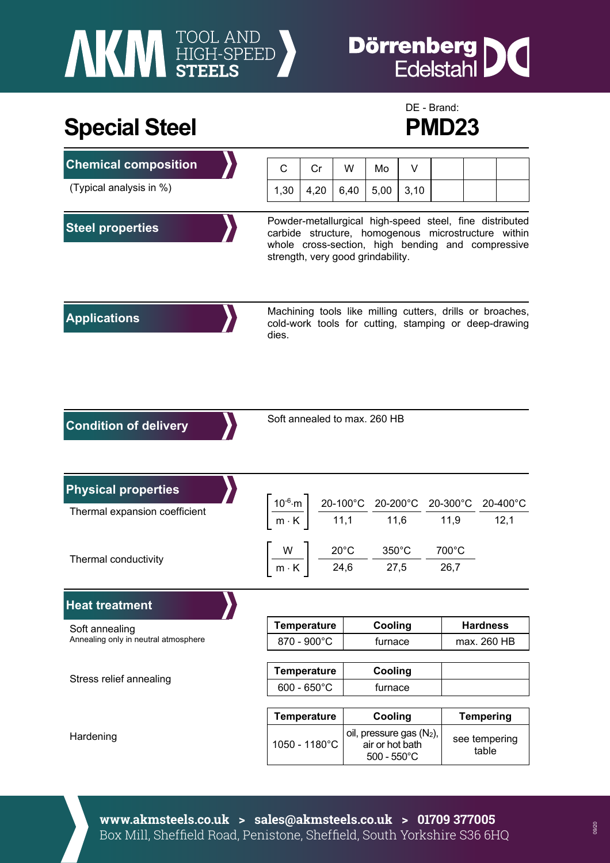# **NEW STEELS**

## **Dörrenberg DC**<br>Edelstahl

### **Special Steel PMD23**



| <b>Chemical composition</b>                                 | C                                                                                                                                                                                                        | Cr                 | W    | Mo                                                                                                                                                                                                                                        | V    |               |                        |  |  |
|-------------------------------------------------------------|----------------------------------------------------------------------------------------------------------------------------------------------------------------------------------------------------------|--------------------|------|-------------------------------------------------------------------------------------------------------------------------------------------------------------------------------------------------------------------------------------------|------|---------------|------------------------|--|--|
| (Typical analysis in %)                                     | 1,30                                                                                                                                                                                                     | 4,20               | 6,40 | 5,00                                                                                                                                                                                                                                      | 3,10 |               |                        |  |  |
| <b>Steel properties</b>                                     | Powder-metallurgical high-speed steel, fine distributed<br>carbide structure, homogenous microstructure within<br>whole cross-section, high bending and compressive<br>strength, very good grindability. |                    |      |                                                                                                                                                                                                                                           |      |               |                        |  |  |
| <b>Applications</b>                                         | dies.                                                                                                                                                                                                    |                    |      | Machining tools like milling cutters, drills or broaches,<br>cold-work tools for cutting, stamping or deep-drawing                                                                                                                        |      |               |                        |  |  |
| <b>Condition of delivery</b>                                | Soft annealed to max. 260 HB                                                                                                                                                                             |                    |      |                                                                                                                                                                                                                                           |      |               |                        |  |  |
| <b>Physical properties</b><br>Thermal expansion coefficient |                                                                                                                                                                                                          |                    |      | $\left.\frac{10^{-6}\text{ m}}{\text{m} \cdot \text{K}}\right\  \left.\frac{20-100^{\circ}\text{C}}{11,1}\right. \frac{20-200^{\circ}\text{C}}{11,6} \cdot \frac{20-300^{\circ}\text{C}}{11,9} \cdot \frac{20-400^{\circ}\text{C}}{12,1}$ |      |               |                        |  |  |
| Thermal conductivity                                        |                                                                                                                                                                                                          |                    |      | $\left\lceil \frac{\mathsf{W}}{\mathsf{m}\cdot\mathsf{K}}\right\rceil = \frac{20^{\circ}\mathsf{C}}{24,6} = \frac{350^{\circ}\mathsf{C}}{27,5}$                                                                                           |      | 700°C<br>26,7 |                        |  |  |
| <b>Heat treatment</b>                                       |                                                                                                                                                                                                          |                    |      |                                                                                                                                                                                                                                           |      |               |                        |  |  |
| Soft annealing                                              | <b>Temperature</b>                                                                                                                                                                                       |                    |      | Cooling                                                                                                                                                                                                                                   |      |               | <b>Hardness</b>        |  |  |
| Annealing only in neutral atmosphere                        | 870 - 900°C                                                                                                                                                                                              |                    |      | furnace                                                                                                                                                                                                                                   |      |               | max. 260 HB            |  |  |
| Stress relief annealing                                     | <b>Temperature</b><br>$600 - 650^{\circ}$ C                                                                                                                                                              |                    |      | Cooling<br>furnace                                                                                                                                                                                                                        |      |               |                        |  |  |
|                                                             |                                                                                                                                                                                                          | <b>Temperature</b> |      | Cooling                                                                                                                                                                                                                                   |      |               | <b>Tempering</b>       |  |  |
| Hardening                                                   | 1050 - 1180°C                                                                                                                                                                                            |                    |      | oil, pressure gas (N <sub>2</sub> ),<br>air or hot bath<br>$500 - 550^{\circ}$ C                                                                                                                                                          |      |               | see tempering<br>table |  |  |

**www.akmsteels.co.uk > sales@akmsteels.co.uk > 01709 377005**  Box Mill, Sheffield Road, Penistone, Sheffield, South Yorkshire S36 6HQ